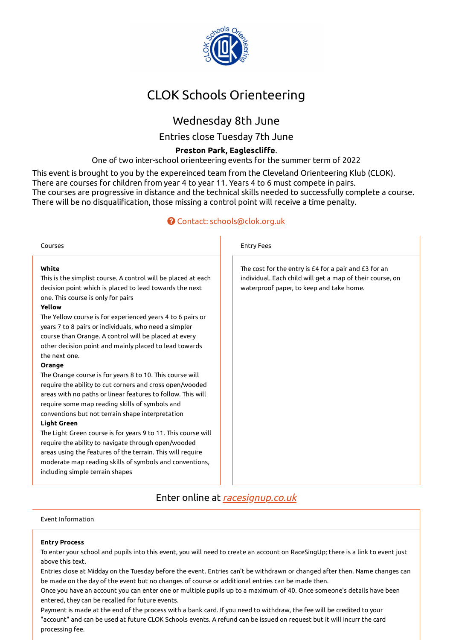

# CLOK Schools Orienteering

## Wednesday 8th June

Entries close Tuesday 7th June

### **Preston Park, Eaglescli�e**.

One of two inter-school orienteering events for the summer term of 2022

This event is brought to you by the expereinced team from the Cleveland Orienteering Klub (CLOK). There are courses for children from year 4 to year 11. Years 4 to 6 must compete in pairs. The courses are progressive in distance and the technical skills needed to successfully complete a course. There will be no disqualification, those missing a control point will receive a time penalty.

### Contact: schools@clok.org.uk

| White<br>The cost for the entry is £4 for a pair and £3 for an<br>This is the simplist course. A control will be placed at each<br>individual. Each child will get a map of their course, on<br>decision point which is placed to lead towards the next<br>waterproof paper, to keep and take home.<br>one. This course is only for pairs<br>Yellow<br>The Yellow course is for experienced years 4 to 6 pairs or<br>years 7 to 8 pairs or individuals, who need a simpler<br>course than Orange. A control will be placed at every<br>other decision point and mainly placed to lead towards<br>the next one.<br><b>Orange</b><br>The Orange course is for years 8 to 10. This course will<br>require the ability to cut corners and cross open/wooded<br>areas with no paths or linear features to follow. This will<br>require some map reading skills of symbols and<br>conventions but not terrain shape interpretation<br><b>Light Green</b><br>The Light Green course is for years 9 to 11. This course will<br>require the ability to navigate through open/wooded<br>areas using the features of the terrain. This will require<br>moderate map reading skills of symbols and conventions,<br>including simple terrain shapes | Courses | <b>Entry Fees</b> |
|----------------------------------------------------------------------------------------------------------------------------------------------------------------------------------------------------------------------------------------------------------------------------------------------------------------------------------------------------------------------------------------------------------------------------------------------------------------------------------------------------------------------------------------------------------------------------------------------------------------------------------------------------------------------------------------------------------------------------------------------------------------------------------------------------------------------------------------------------------------------------------------------------------------------------------------------------------------------------------------------------------------------------------------------------------------------------------------------------------------------------------------------------------------------------------------------------------------------------------------|---------|-------------------|
|                                                                                                                                                                                                                                                                                                                                                                                                                                                                                                                                                                                                                                                                                                                                                                                                                                                                                                                                                                                                                                                                                                                                                                                                                                        |         |                   |

## Enter online at racesignup.co.uk

Event Information

#### **Entry Process**

To enter your school and pupils into this event, you will need to create an account on RaceSingUp; there is a link to event just above this text.

Entries close at Midday on the Tuesday before the event. Entries can't be withdrawn or changed after then. Name changes can be made on the day of the event but no changes of course or additional entries can be made then.

Once you have an account you can enter one or multiple pupils up to a maximum of 40. Once someone's details have been entered, they can be recalled for future events.

Payment is made at the end of the process with a bank card. If you need to withdraw, the fee will be credited to your "account" and can be used at future CLOK Schools events. A refund can be issued on request but it will incurr the card processing fee.